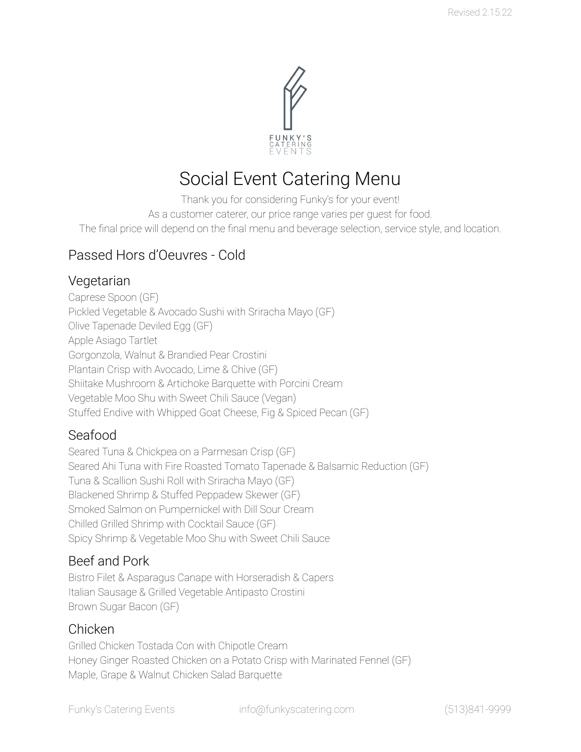

# Social Event Catering Menu

Thank you for considering Funky's for your event!

As a customer caterer, our price range varies per guest for food.

The final price will depend on the final menu and beverage selection, service style, and location.

## Passed Hors d'Oeuvres - Cold

### Vegetarian

Caprese Spoon (GF) Pickled Vegetable & Avocado Sushi with Sriracha Mayo (GF) Olive Tapenade Deviled Egg (GF) Apple Asiago Tartlet Gorgonzola, Walnut & Brandied Pear Crostini Plantain Crisp with Avocado, Lime & Chive (GF) Shiitake Mushroom & Artichoke Barquette with Porcini Cream Vegetable Moo Shu with Sweet Chili Sauce (Vegan) Stuffed Endive with Whipped Goat Cheese, Fig & Spiced Pecan (GF)

## Seafood

Seared Tuna & Chickpea on a Parmesan Crisp (GF) Seared Ahi Tuna with Fire Roasted Tomato Tapenade & Balsamic Reduction (GF) Tuna & Scallion Sushi Roll with Sriracha Mayo (GF) Blackened Shrimp & Stuffed Peppadew Skewer (GF) Smoked Salmon on Pumpernickel with Dill Sour Cream Chilled Grilled Shrimp with Cocktail Sauce (GF) Spicy Shrimp & Vegetable Moo Shu with Sweet Chili Sauce

## Beef and Pork

Bistro Filet & Asparagus Canape with Horseradish & Capers Italian Sausage & Grilled Vegetable Antipasto Crostini Brown Sugar Bacon (GF)

#### Chicken

Grilled Chicken Tostada Con with Chipotle Cream Honey Ginger Roasted Chicken on a Potato Crisp with Marinated Fennel (GF) Maple, Grape & Walnut Chicken Salad Barquette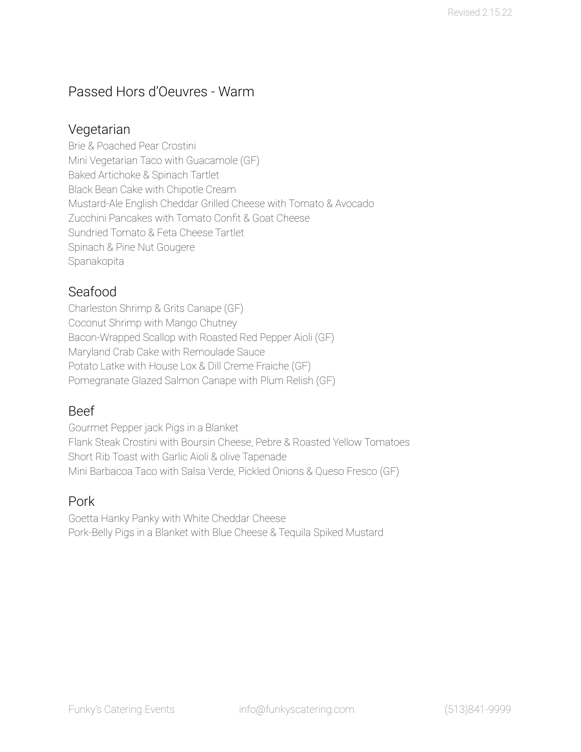## Passed Hors d'Oeuvres - Warm

#### Vegetarian

Brie & Poached Pear Crostini Mini Vegetarian Taco with Guacamole (GF) Baked Artichoke & Spinach Tartlet Black Bean Cake with Chipotle Cream Mustard-Ale English Cheddar Grilled Cheese with Tomato & Avocado Zucchini Pancakes with Tomato Confit & Goat Cheese Sundried Tomato & Feta Cheese Tartlet Spinach & Pine Nut Gougere Spanakopita

#### Seafood

Charleston Shrimp & Grits Canape (GF) Coconut Shrimp with Mango Chutney Bacon-Wrapped Scallop with Roasted Red Pepper Aioli (GF) Maryland Crab Cake with Remoulade Sauce Potato Latke with House Lox & Dill Creme Fraiche (GF) Pomegranate Glazed Salmon Canape with Plum Relish (GF)

#### Beef

Gourmet Pepper jack Pigs in a Blanket Flank Steak Crostini with Boursin Cheese, Pebre & Roasted Yellow Tomatoes Short Rib Toast with Garlic Aioli & olive Tapenade Mini Barbacoa Taco with Salsa Verde, Pickled Onions & Queso Fresco (GF)

#### Pork

Goetta Hanky Panky with White Cheddar Cheese Pork-Belly Pigs in a Blanket with Blue Cheese & Tequila Spiked Mustard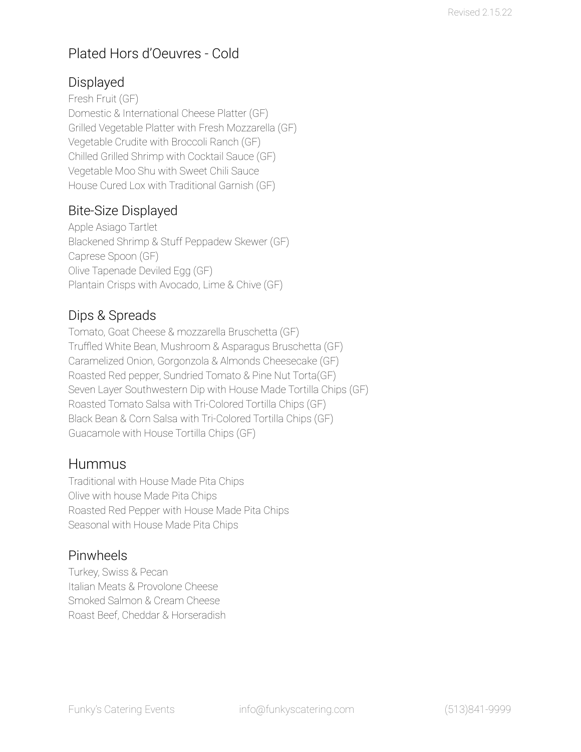## Plated Hors d'Oeuvres - Cold

## Displayed

Fresh Fruit (GF) Domestic & International Cheese Platter (GF) Grilled Vegetable Platter with Fresh Mozzarella (GF) Vegetable Crudite with Broccoli Ranch (GF) Chilled Grilled Shrimp with Cocktail Sauce (GF) Vegetable Moo Shu with Sweet Chili Sauce House Cured Lox with Traditional Garnish (GF)

## Bite-Size Displayed

Apple Asiago Tartlet Blackened Shrimp & Stuff Peppadew Skewer (GF) Caprese Spoon (GF) Olive Tapenade Deviled Egg (GF) Plantain Crisps with Avocado, Lime & Chive (GF)

## Dips & Spreads

Tomato, Goat Cheese & mozzarella Bruschetta (GF) Truffled White Bean, Mushroom & Asparagus Bruschetta (GF) Caramelized Onion, Gorgonzola & Almonds Cheesecake (GF) Roasted Red pepper, Sundried Tomato & Pine Nut Torta(GF) Seven Layer Southwestern Dip with House Made Tortilla Chips (GF) Roasted Tomato Salsa with Tri-Colored Tortilla Chips (GF) Black Bean & Corn Salsa with Tri-Colored Tortilla Chips (GF) Guacamole with House Tortilla Chips (GF)

## Hummus

Traditional with House Made Pita Chips Olive with house Made Pita Chips Roasted Red Pepper with House Made Pita Chips Seasonal with House Made Pita Chips

## Pinwheels

Turkey, Swiss & Pecan Italian Meats & Provolone Cheese Smoked Salmon & Cream Cheese Roast Beef, Cheddar & Horseradish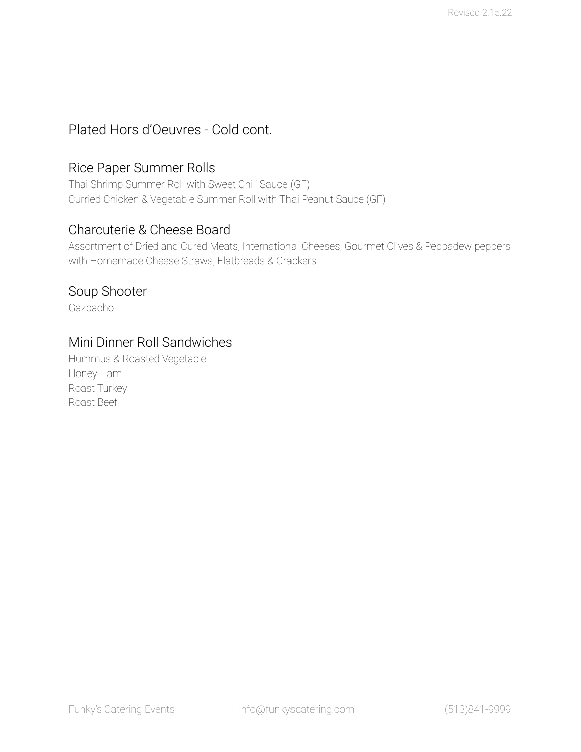## Plated Hors d'Oeuvres - Cold cont.

#### Rice Paper Summer Rolls

Thai Shrimp Summer Roll with Sweet Chili Sauce (GF) Curried Chicken & Vegetable Summer Roll with Thai Peanut Sauce (GF)

#### Charcuterie & Cheese Board

Assortment of Dried and Cured Meats, International Cheeses, Gourmet Olives & Peppadew peppers with Homemade Cheese Straws, Flatbreads & Crackers

#### Soup Shooter

Gazpacho

#### Mini Dinner Roll Sandwiches

Hummus & Roasted Vegetable Honey Ham Roast Turkey Roast Beef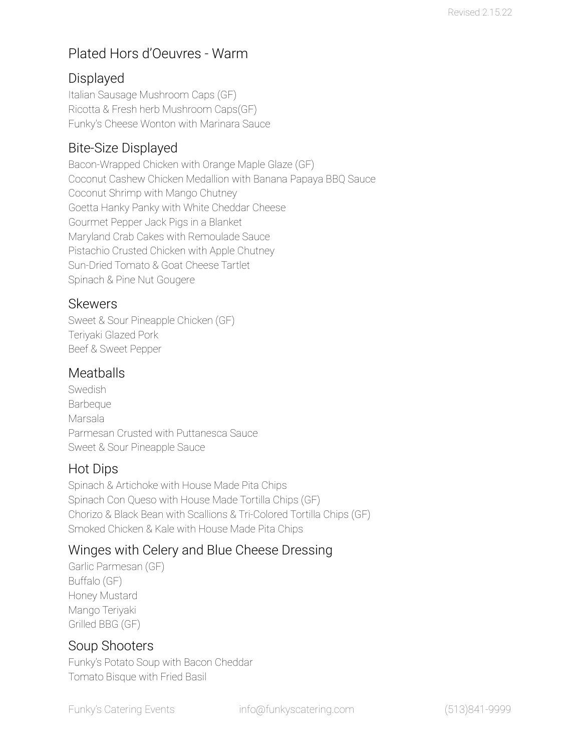## Plated Hors d'Oeuvres - Warm

## Displayed

Italian Sausage Mushroom Caps (GF) Ricotta & Fresh herb Mushroom Caps(GF) Funky's Cheese Wonton with Marinara Sauce

## Bite-Size Displayed

Bacon-Wrapped Chicken with Orange Maple Glaze (GF) Coconut Cashew Chicken Medallion with Banana Papaya BBQ Sauce Coconut Shrimp with Mango Chutney Goetta Hanky Panky with White Cheddar Cheese Gourmet Pepper Jack Pigs in a Blanket Maryland Crab Cakes with Remoulade Sauce Pistachio Crusted Chicken with Apple Chutney Sun-Dried Tomato & Goat Cheese Tartlet Spinach & Pine Nut Gougere

### Skewers

Sweet & Sour Pineapple Chicken (GF) Teriyaki Glazed Pork Beef & Sweet Pepper

## Meatballs

**Swedish** Barbeque Marsala Parmesan Crusted with Puttanesca Sauce Sweet & Sour Pineapple Sauce

## Hot Dips

Spinach & Artichoke with House Made Pita Chips Spinach Con Queso with House Made Tortilla Chips (GF) Chorizo & Black Bean with Scallions & Tri-Colored Tortilla Chips (GF) Smoked Chicken & Kale with House Made Pita Chips

## Winges with Celery and Blue Cheese Dressing

Garlic Parmesan (GF) Buffalo (GF) Honey Mustard Mango Teriyaki Grilled BBG (GF)

## Soup Shooters

Funky's Potato Soup with Bacon Cheddar Tomato Bisque with Fried Basil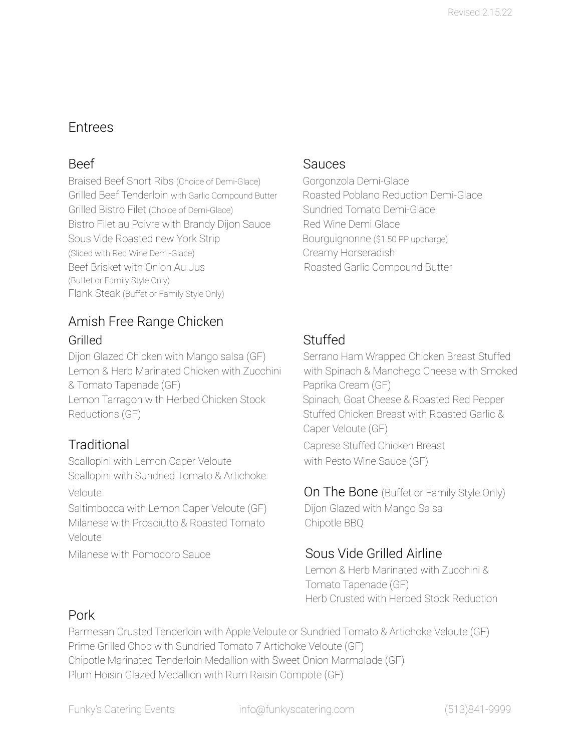## Entrees

Braised Beef Short Ribs (Choice of Demi-Glace) Gorgonzola Demi-Glace Grilled Beef Tenderloin with Garlic Compound Butter Roasted Poblano Reduction Demi-Glace Grilled Bistro Filet (Choice of Demi-Glace) Sundried Tomato Demi-Glace Bistro Filet au Poivre with Brandy Dijon Sauce Red Wine Demi Glace Sous Vide Roasted new York Strip Bourguignonne (\$1.50 PP upcharge) (Sliced with Red Wine Demi-Glace) Creamy Horseradish Beef Brisket with Onion Au Jus **Roasted Garlic Compound Butter** (Buffet or Family Style Only) Flank Steak (Buffet or Family Style Only)

## Amish Free Range Chicken Grilled Stuffed

Dijon Glazed Chicken with Mango salsa (GF) Serrano Ham Wrapped Chicken Breast Stuffed Lemon & Herb Marinated Chicken with Zucchini with Spinach & Manchego Cheese with Smoked & Tomato Tapenade (GF) entitled a paprika Cream (GF) Lemon Tarragon with Herbed Chicken Stock Spinach, Goat Cheese & Roasted Red Pepper Reductions (GF) The Stuffed Chicken Breast with Roasted Garlic &

Scallopini with Lemon Caper Veloute with Pesto Wine Sauce (GF) Scallopini with Sundried Tomato & Artichoke

Saltimbocca with Lemon Caper Veloute (GF) Dijon Glazed with Mango Salsa Milanese with Prosciutto & Roasted Tomato Chipotle BBQ Veloute

Milanese with Pomodoro Sauce Sous Vide Grilled Airline

#### Beef Sauces

Caper Veloute (GF) Traditional Caprese Stuffed Chicken Breast

Veloute **On The Bone** (Buffet or Family Style Only)

Lemon & Herb Marinated with Zucchini & Tomato Tapenade (GF) Herb Crusted with Herbed Stock Reduction

## Pork

Parmesan Crusted Tenderloin with Apple Veloute or Sundried Tomato & Artichoke Veloute (GF) Prime Grilled Chop with Sundried Tomato 7 Artichoke Veloute (GF) Chipotle Marinated Tenderloin Medallion with Sweet Onion Marmalade (GF) Plum Hoisin Glazed Medallion with Rum Raisin Compote (GF)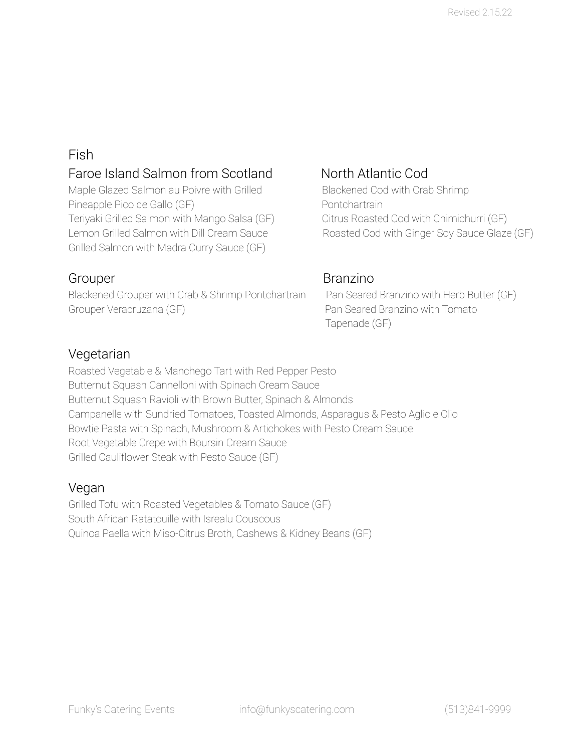## Fish

## Faroe Island Salmon from Scotland North Atlantic Cod

Maple Glazed Salmon au Poivre with Grilled Blackened Cod with Crab Shrimp Pineapple Pico de Gallo (GF) enterprise pontchartrain Teriyaki Grilled Salmon with Mango Salsa (GF) Citrus Roasted Cod with Chimichurri (GF) Grilled Salmon with Madra Curry Sauce (GF)

Blackened Grouper with Crab & Shrimp Pontchartrain Pan Seared Branzino with Herb Butter (GF) Grouper Veracruzana (GF) entitled by the Pan Seared Branzino with Tomato

Lemon Grilled Salmon with Dill Cream Sauce Roasted Cod with Ginger Soy Sauce Glaze (GF)

### Grouper Branzino

Tapenade (GF)

## Vegetarian

Roasted Vegetable & Manchego Tart with Red Pepper Pesto Butternut Squash Cannelloni with Spinach Cream Sauce Butternut Squash Ravioli with Brown Butter, Spinach & Almonds Campanelle with Sundried Tomatoes, Toasted Almonds, Asparagus & Pesto Aglio e Olio Bowtie Pasta with Spinach, Mushroom & Artichokes with Pesto Cream Sauce Root Vegetable Crepe with Boursin Cream Sauce Grilled Cauliflower Steak with Pesto Sauce (GF)

#### Vegan

Grilled Tofu with Roasted Vegetables & Tomato Sauce (GF) South African Ratatouille with Isrealu Couscous Quinoa Paella with Miso-Citrus Broth, Cashews & Kidney Beans (GF)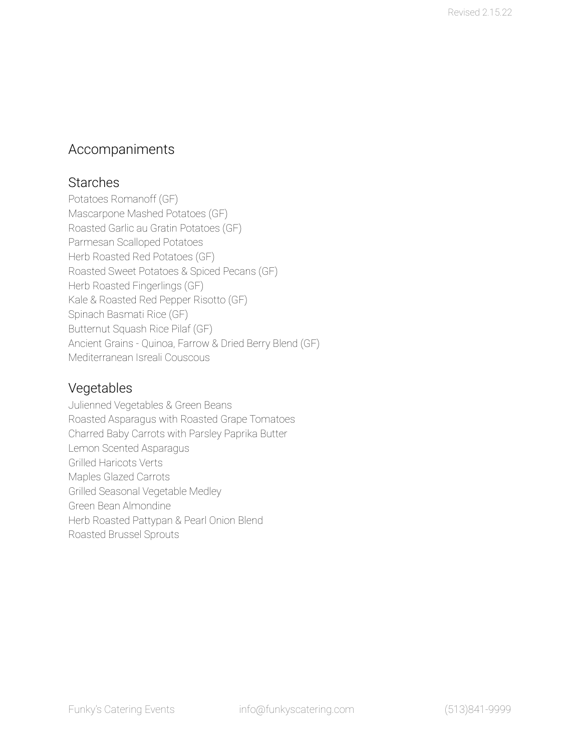## Accompaniments

#### **Starches**

Potatoes Romanoff (GF) Mascarpone Mashed Potatoes (GF) Roasted Garlic au Gratin Potatoes (GF) Parmesan Scalloped Potatoes Herb Roasted Red Potatoes (GF) Roasted Sweet Potatoes & Spiced Pecans (GF) Herb Roasted Fingerlings (GF) Kale & Roasted Red Pepper Risotto (GF) Spinach Basmati Rice (GF) Butternut Squash Rice Pilaf (GF) Ancient Grains - Quinoa, Farrow & Dried Berry Blend (GF) Mediterranean Isreali Couscous

## Vegetables

Julienned Vegetables & Green Beans Roasted Asparagus with Roasted Grape Tomatoes Charred Baby Carrots with Parsley Paprika Butter Lemon Scented Asparagus Grilled Haricots Verts Maples Glazed Carrots Grilled Seasonal Vegetable Medley Green Bean Almondine Herb Roasted Pattypan & Pearl Onion Blend Roasted Brussel Sprouts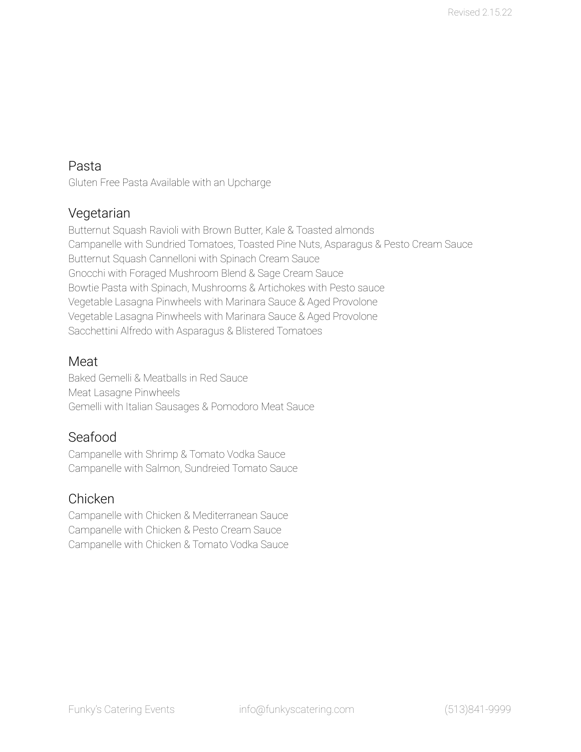### Pasta

Gluten Free Pasta Available with an Upcharge

## Vegetarian

Butternut Squash Ravioli with Brown Butter, Kale & Toasted almonds Campanelle with Sundried Tomatoes, Toasted Pine Nuts, Asparagus & Pesto Cream Sauce Butternut Squash Cannelloni with Spinach Cream Sauce Gnocchi with Foraged Mushroom Blend & Sage Cream Sauce Bowtie Pasta with Spinach, Mushrooms & Artichokes with Pesto sauce Vegetable Lasagna Pinwheels with Marinara Sauce & Aged Provolone Vegetable Lasagna Pinwheels with Marinara Sauce & Aged Provolone Sacchettini Alfredo with Asparagus & Blistered Tomatoes

#### Meat

Baked Gemelli & Meatballs in Red Sauce Meat Lasagne Pinwheels Gemelli with Italian Sausages & Pomodoro Meat Sauce

## Seafood

Campanelle with Shrimp & Tomato Vodka Sauce Campanelle with Salmon, Sundreied Tomato Sauce

#### Chicken

Campanelle with Chicken & Mediterranean Sauce Campanelle with Chicken & Pesto Cream Sauce Campanelle with Chicken & Tomato Vodka Sauce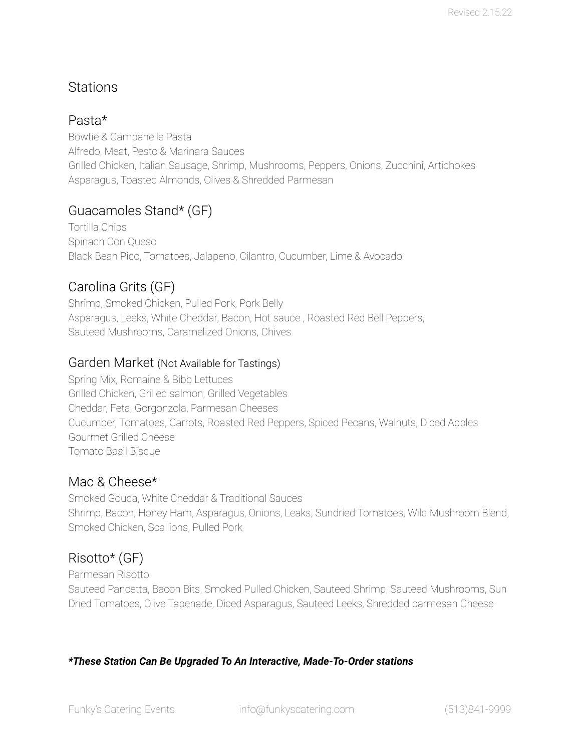## **Stations**

### Pasta\*

Bowtie & Campanelle Pasta Alfredo, Meat, Pesto & Marinara Sauces Grilled Chicken, Italian Sausage, Shrimp, Mushrooms, Peppers, Onions, Zucchini, Artichokes Asparagus, Toasted Almonds, Olives & Shredded Parmesan

## Guacamoles Stand\* (GF)

Tortilla Chips Spinach Con Queso Black Bean Pico, Tomatoes, Jalapeno, Cilantro, Cucumber, Lime & Avocado

## Carolina Grits (GF)

Shrimp, Smoked Chicken, Pulled Pork, Pork Belly Asparagus, Leeks, White Cheddar, Bacon, Hot sauce , Roasted Red Bell Peppers, Sauteed Mushrooms, Caramelized Onions, Chives

#### Garden Market (Not Available for Tastings)

Spring Mix, Romaine & Bibb Lettuces Grilled Chicken, Grilled salmon, Grilled Vegetables Cheddar, Feta, Gorgonzola, Parmesan Cheeses Cucumber, Tomatoes, Carrots, Roasted Red Peppers, Spiced Pecans, Walnuts, Diced Apples Gourmet Grilled Cheese Tomato Basil Bisque

## Mac & Cheese\*

Smoked Gouda, White Cheddar & Traditional Sauces Shrimp, Bacon, Honey Ham, Asparagus, Onions, Leaks, Sundried Tomatoes, Wild Mushroom Blend, Smoked Chicken, Scallions, Pulled Pork

## Risotto\* (GF)

Parmesan Risotto Sauteed Pancetta, Bacon Bits, Smoked Pulled Chicken, Sauteed Shrimp, Sauteed Mushrooms, Sun Dried Tomatoes, Olive Tapenade, Diced Asparagus, Sauteed Leeks, Shredded parmesan Cheese

#### *\*These Station Can Be Upgraded To An Interactive, Made-To-Order stations*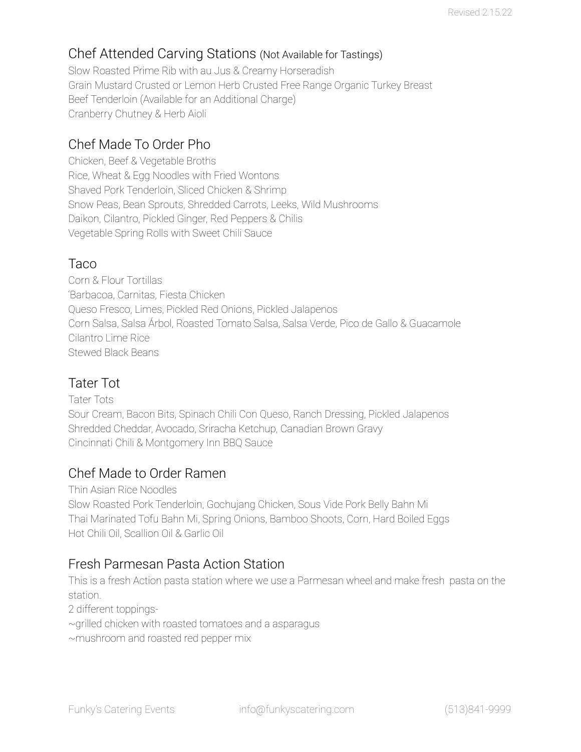## Chef Attended Carving Stations (Not Available for Tastings)

Slow Roasted Prime Rib with au Jus & Creamy Horseradish Grain Mustard Crusted or Lemon Herb Crusted Free Range Organic Turkey Breast Beef Tenderloin (Available for an Additional Charge) Cranberry Chutney & Herb Aioli

## Chef Made To Order Pho

Chicken, Beef & Vegetable Broths Rice, Wheat & Egg Noodles with Fried Wontons Shaved Pork Tenderloin, Sliced Chicken & Shrimp Snow Peas, Bean Sprouts, Shredded Carrots, Leeks, Wild Mushrooms Daikon, Cilantro, Pickled Ginger, Red Peppers & Chilis Vegetable Spring Rolls with Sweet Chili Sauce

### Taco

Corn & Flour Tortillas 'Barbacoa, Carnitas, Fiesta Chicken Queso Fresco, Limes, Pickled Red Onions, Pickled Jalapenos Corn Salsa, Salsa Árbol, Roasted Tomato Salsa, Salsa Verde, Pico de Gallo & Guacamole Cilantro Lime Rice Stewed Black Beans

## Tater Tot

Tater Tots Sour Cream, Bacon Bits, Spinach Chili Con Queso, Ranch Dressing, Pickled Jalapenos Shredded Cheddar, Avocado, Sriracha Ketchup, Canadian Brown Gravy Cincinnati Chili & Montgomery Inn BBQ Sauce

## Chef Made to Order Ramen

Thin Asian Rice Noodles Slow Roasted Pork Tenderloin, Gochujang Chicken, Sous Vide Pork Belly Bahn Mi Thai Marinated Tofu Bahn Mi, Spring Onions, Bamboo Shoots, Corn, Hard Boiled Eggs Hot Chili Oil, Scallion Oil & Garlic Oil

## Fresh Parmesan Pasta Action Station

This is a fresh Action pasta station where we use a Parmesan wheel and make fresh pasta on the station.

2 different toppings-

~grilled chicken with roasted tomatoes and a asparagus

~mushroom and roasted red pepper mix